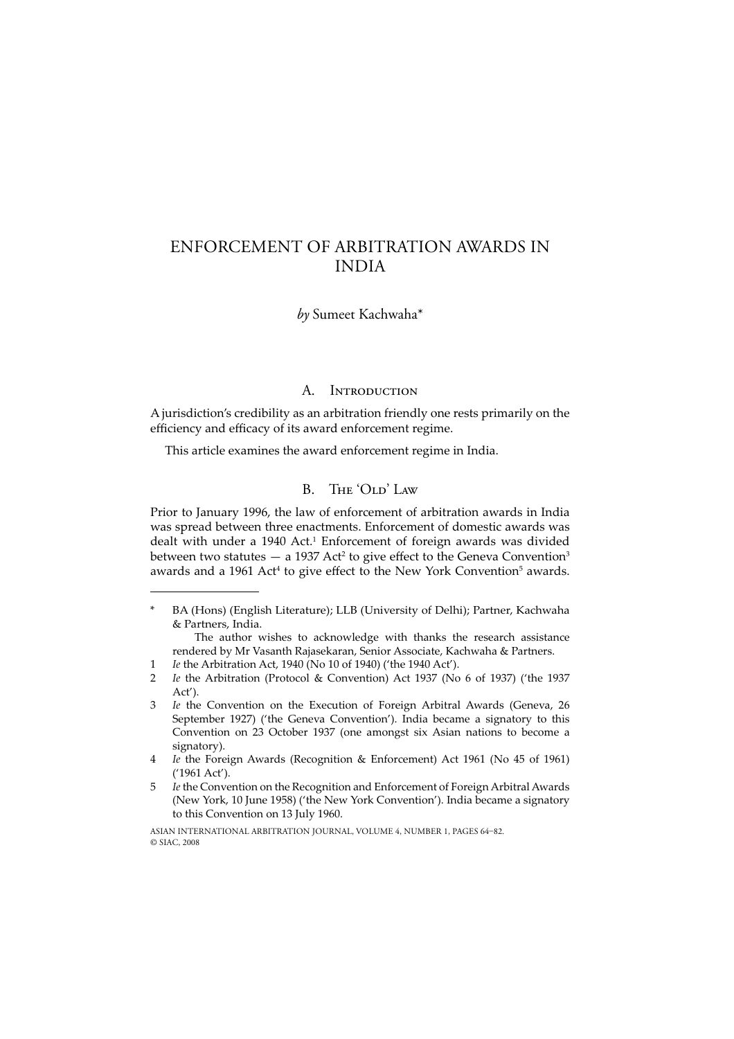# ENFORCEMENT OF ARBITRATION AWARDS IN INDIA

*by* Sumeet Kachwaha\*

### A. INTRODUCTION

A jurisdiction's credibility as an arbitration friendly one rests primarily on the efficiency and efficacy of its award enforcement regime.

This article examines the award enforcement regime in India.

### B. THE 'OLD' LAW

Prior to January 1996, the law of enforcement of arbitration awards in India was spread between three enactments. Enforcement of domestic awards was dealt with under a 1940 Act.<sup>1</sup> Enforcement of foreign awards was divided between two statutes  $-$  a 1937 Act<sup>2</sup> to give effect to the Geneva Convention<sup>3</sup> awards and a 1961 Act<sup>4</sup> to give effect to the New York Convention<sup>5</sup> awards.

1 *Ie* the Arbitration Act, 1940 (No 10 of 1940) ('the 1940 Act').

BA (Hons) (English Literature); LLB (University of Delhi); Partner, Kachwaha & Partners, India.

The author wishes to acknowledge with thanks the research assistance rendered by Mr Vasanth Rajasekaran, Senior Associate, Kachwaha & Partners.

<sup>2</sup> *Ie* the Arbitration (Protocol & Convention) Act 1937 (No 6 of 1937) ('the 1937 Act').

<sup>3</sup> *Ie* the Convention on the Execution of Foreign Arbitral Awards (Geneva, 26 September 1927) ('the Geneva Convention'). India became a signatory to this Convention on 23 October 1937 (one amongst six Asian nations to become a signatory).

<sup>4</sup> *Ie* the Foreign Awards (Recognition & Enforcement) Act 1961 (No 45 of 1961) ('1961 Act').

<sup>5</sup> *Ie* the Convention on the Recognition and Enforcement of Foreign Arbitral Awards (New York, 10 June 1958) ('the New York Convention'). India became a signatory to this Convention on 13 July 1960.

ASIAN INTERNATIONAL ARBITRATION JOURNAL, VOLUME 4, NUMBER 1, PAGES 64-82. © SIAC, 2008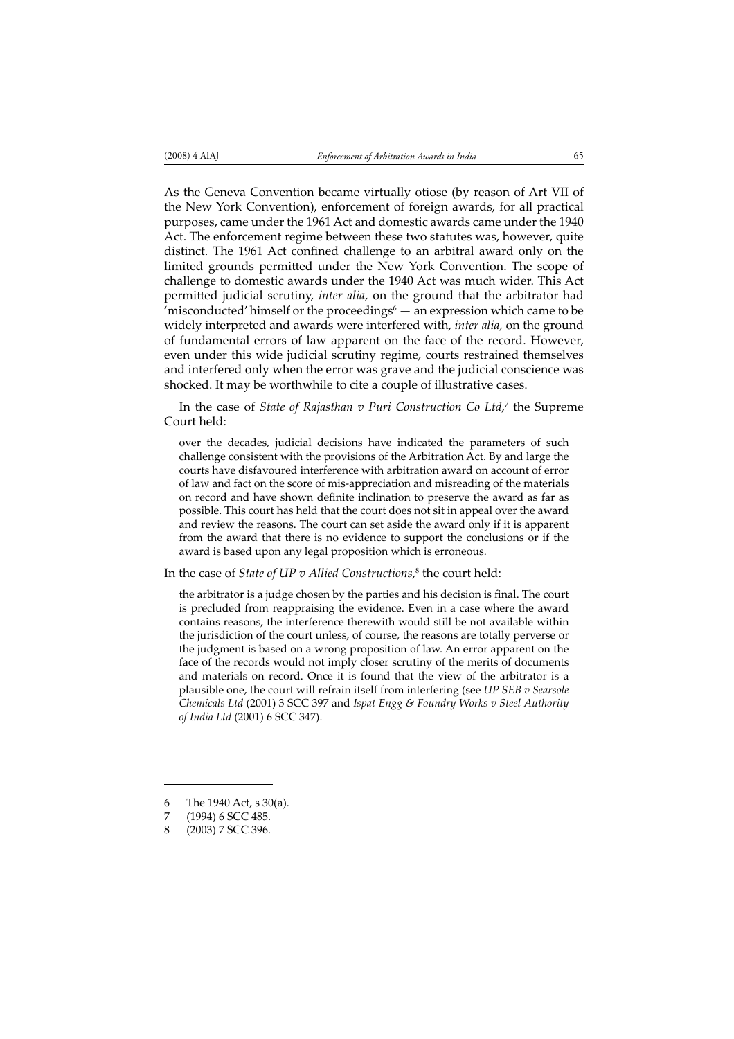As the Geneva Convention became virtually otiose (by reason of Art VII of the New York Convention), enforcement of foreign awards, for all practical purposes, came under the 1961 Act and domestic awards came under the 1940 Act. The enforcement regime between these two statutes was, however, quite distinct. The 1961 Act confined challenge to an arbitral award only on the limited grounds permitted under the New York Convention. The scope of challenge to domestic awards under the 1940 Act was much wider. This Act permitted judicial scrutiny, *inter alia*, on the ground that the arbitrator had 'misconducted' himself or the proceedings $\degree$  — an expression which came to be widely interpreted and awards were interfered with, *inter alia*, on the ground of fundamental errors of law apparent on the face of the record. However, even under this wide judicial scrutiny regime, courts restrained themselves and interfered only when the error was grave and the judicial conscience was shocked. It may be worthwhile to cite a couple of illustrative cases.

In the case of *State of Rajasthan v Puri Construction Co Ltd*, 7 the Supreme Court held:

over the decades, judicial decisions have indicated the parameters of such challenge consistent with the provisions of the Arbitration Act. By and large the courts have disfavoured interference with arbitration award on account of error of law and fact on the score of mis-appreciation and misreading of the materials on record and have shown definite inclination to preserve the award as far as possible. This court has held that the court does not sit in appeal over the award and review the reasons. The court can set aside the award only if it is apparent from the award that there is no evidence to support the conclusions or if the award is based upon any legal proposition which is erroneous.

In the case of *State of UP v Allied Constructions*, 8 the court held:

the arbitrator is a judge chosen by the parties and his decision is final. The court is precluded from reappraising the evidence. Even in a case where the award contains reasons, the interference therewith would still be not available within the jurisdiction of the court unless, of course, the reasons are totally perverse or the judgment is based on a wrong proposition of law. An error apparent on the face of the records would not imply closer scrutiny of the merits of documents and materials on record. Once it is found that the view of the arbitrator is a plausible one, the court will refrain itself from interfering (see *UP SEB v Searsole Chemicals Ltd* (2001) 3 SCC 397 and *Ispat Engg & Foundry Works v Steel Authority of India Ltd* (2001) 6 SCC 347).

<sup>6</sup> The 1940 Act, s 30(a).

<sup>(1994) 6</sup> SCC 485.

<sup>8 (2003) 7</sup> SCC 396.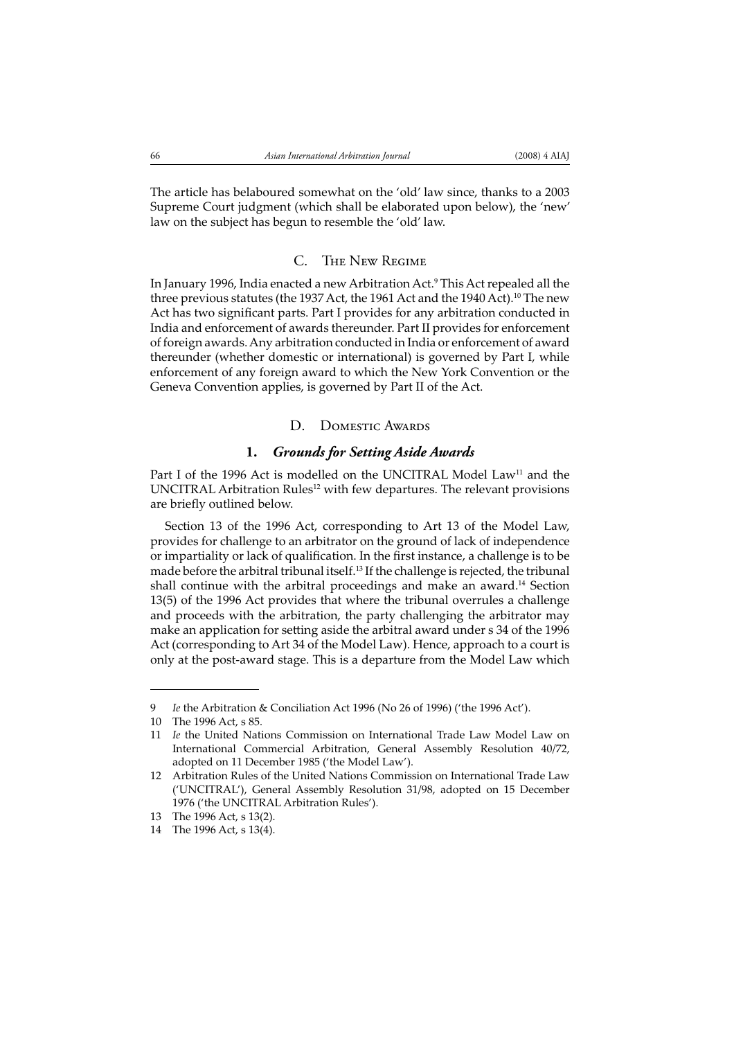The article has belaboured somewhat on the 'old' law since, thanks to a 2003 Supreme Court judgment (which shall be elaborated upon below), the 'new' law on the subject has begun to resemble the 'old' law.

#### C. THE NEW REGIME

In January 1996, India enacted a new Arbitration Act.9 This Act repealed all the three previous statutes (the 1937 Act, the 1961 Act and the 1940 Act).<sup>10</sup> The new Act has two significant parts. Part I provides for any arbitration conducted in India and enforcement of awards thereunder. Part II provides for enforcement of foreign awards. Any arbitration conducted in India or enforcement of award thereunder (whether domestic or international) is governed by Part I, while enforcement of any foreign award to which the New York Convention or the Geneva Convention applies, is governed by Part II of the Act.

### D. DOMESTIC AWARDS

### **1.** *Grounds for Setting Aside Awards*

Part I of the 1996 Act is modelled on the UNCITRAL Model Law<sup>11</sup> and the UNCITRAL Arbitration Rules<sup>12</sup> with few departures. The relevant provisions are briefly outlined below.

Section 13 of the 1996 Act, corresponding to Art 13 of the Model Law, provides for challenge to an arbitrator on the ground of lack of independence or impartiality or lack of qualification. In the first instance, a challenge is to be made before the arbitral tribunal itself.13 If the challenge is rejected, the tribunal shall continue with the arbitral proceedings and make an award.<sup>14</sup> Section 13(5) of the 1996 Act provides that where the tribunal overrules a challenge and proceeds with the arbitration, the party challenging the arbitrator may make an application for setting aside the arbitral award under s 34 of the 1996 Act (corresponding to Art 34 of the Model Law). Hence, approach to a court is only at the post-award stage. This is a departure from the Model Law which

<sup>9</sup> *Ie* the Arbitration & Conciliation Act 1996 (No 26 of 1996) ('the 1996 Act').

<sup>10</sup> The 1996 Act, s 85.

<sup>11</sup> *Ie* the United Nations Commission on International Trade Law Model Law on International Commercial Arbitration, General Assembly Resolution 40/72, adopted on 11 December 1985 ('the Model Law').

<sup>12</sup> Arbitration Rules of the United Nations Commission on International Trade Law ('UNCITRAL'), General Assembly Resolution 31/98, adopted on 15 December 1976 ('the UNCITRAL Arbitration Rules').

<sup>13</sup> The 1996 Act, s 13(2).

<sup>14</sup> The 1996 Act, s 13(4).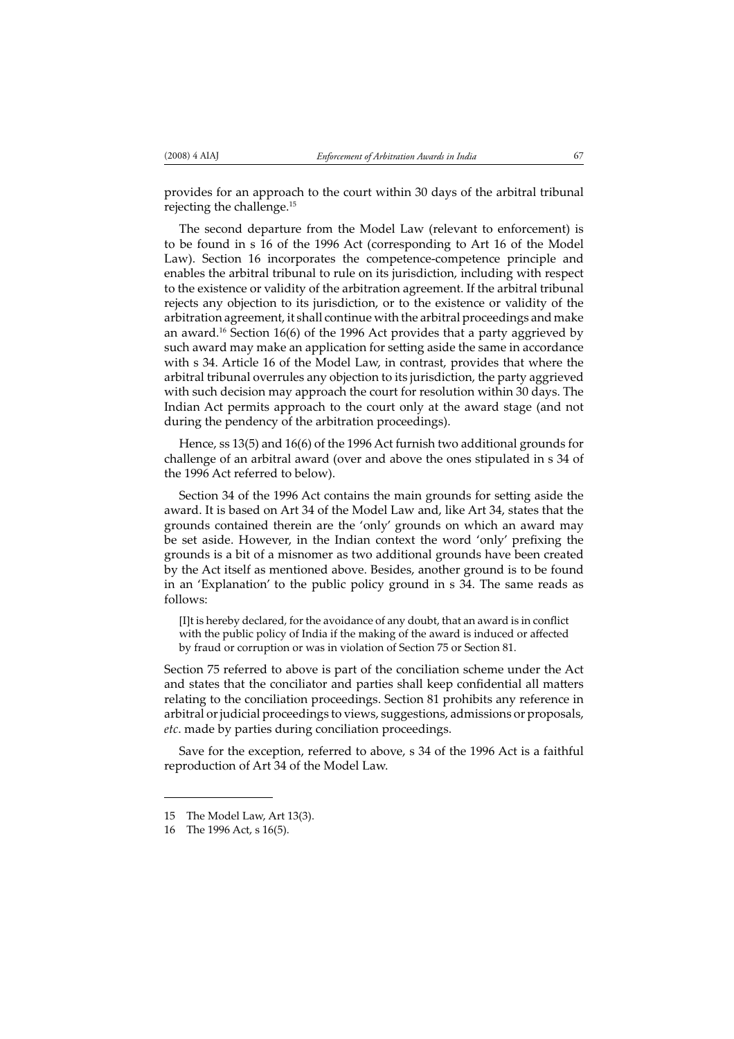provides for an approach to the court within 30 days of the arbitral tribunal rejecting the challenge.15

The second departure from the Model Law (relevant to enforcement) is to be found in s 16 of the 1996 Act (corresponding to Art 16 of the Model Law). Section 16 incorporates the competence-competence principle and enables the arbitral tribunal to rule on its jurisdiction, including with respect to the existence or validity of the arbitration agreement. If the arbitral tribunal rejects any objection to its jurisdiction, or to the existence or validity of the arbitration agreement, it shall continue with the arbitral proceedings and make an award.16 Section 16(6) of the 1996 Act provides that a party aggrieved by such award may make an application for setting aside the same in accordance with s 34. Article 16 of the Model Law, in contrast, provides that where the arbitral tribunal overrules any objection to its jurisdiction, the party aggrieved with such decision may approach the court for resolution within 30 days. The Indian Act permits approach to the court only at the award stage (and not during the pendency of the arbitration proceedings).

Hence, ss 13(5) and 16(6) of the 1996 Act furnish two additional grounds for challenge of an arbitral award (over and above the ones stipulated in s 34 of the 1996 Act referred to below).

Section 34 of the 1996 Act contains the main grounds for setting aside the award. It is based on Art 34 of the Model Law and, like Art 34, states that the grounds contained therein are the 'only' grounds on which an award may be set aside. However, in the Indian context the word 'only' prefixing the grounds is a bit of a misnomer as two additional grounds have been created by the Act itself as mentioned above. Besides, another ground is to be found in an 'Explanation' to the public policy ground in s 34. The same reads as follows:

[I]t is hereby declared, for the avoidance of any doubt, that an award is in conflict with the public policy of India if the making of the award is induced or affected by fraud or corruption or was in violation of Section 75 or Section 81.

Section 75 referred to above is part of the conciliation scheme under the Act and states that the conciliator and parties shall keep confidential all matters relating to the conciliation proceedings. Section 81 prohibits any reference in arbitral or judicial proceedings to views, suggestions, admissions or proposals, *etc*. made by parties during conciliation proceedings.

Save for the exception, referred to above, s 34 of the 1996 Act is a faithful reproduction of Art 34 of the Model Law.

<sup>15</sup> The Model Law, Art 13(3).

<sup>16</sup> The 1996 Act, s 16(5).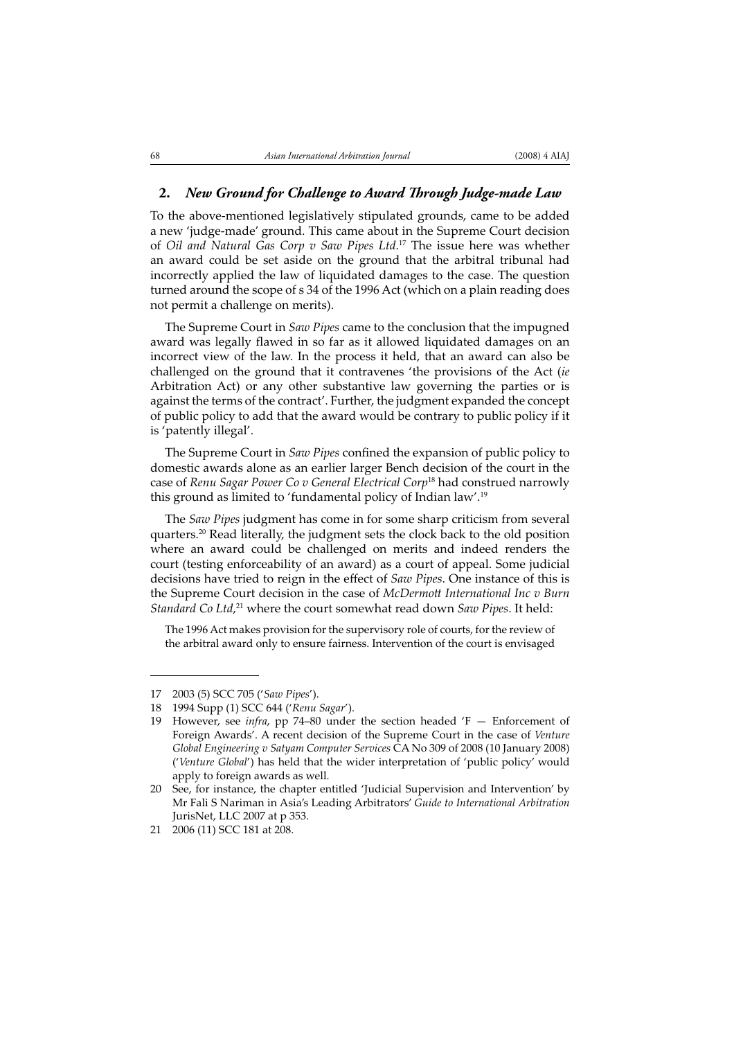#### 2. *New Ground for Challenge to Award Through Judge-made Law*

To the above-mentioned legislatively stipulated grounds, came to be added a new 'judge-made' ground. This came about in the Supreme Court decision of *Oil and Natural Gas Corp v Saw Pipes Ltd*. 17 The issue here was whether an award could be set aside on the ground that the arbitral tribunal had incorrectly applied the law of liquidated damages to the case. The question turned around the scope of s 34 of the 1996 Act (which on a plain reading does not permit a challenge on merits).

The Supreme Court in *Saw Pipes* came to the conclusion that the impugned award was legally flawed in so far as it allowed liquidated damages on an incorrect view of the law. In the process it held, that an award can also be challenged on the ground that it contravenes 'the provisions of the Act (*ie* Arbitration Act) or any other substantive law governing the parties or is against the terms of the contract'. Further, the judgment expanded the concept of public policy to add that the award would be contrary to public policy if it is 'patently illegal'.

The Supreme Court in *Saw Pipes* confined the expansion of public policy to domestic awards alone as an earlier larger Bench decision of the court in the case of *Renu Sagar Power Co v General Electrical Corp*18 had construed narrowly this ground as limited to 'fundamental policy of Indian law'.19

The *Saw Pipes* judgment has come in for some sharp criticism from several quarters.20 Read literally, the judgment sets the clock back to the old position where an award could be challenged on merits and indeed renders the court (testing enforceability of an award) as a court of appeal. Some judicial decisions have tried to reign in the effect of *Saw Pipes*. One instance of this is the Supreme Court decision in the case of *McDermott International Inc v Burn Standard Co Ltd*, 21 where the court somewhat read down *Saw Pipes*. It held:

The 1996 Act makes provision for the supervisory role of courts, for the review of the arbitral award only to ensure fairness. Intervention of the court is envisaged

<sup>17 2003 (5)</sup> SCC 705 ('*Saw Pipes*').

<sup>18 1994</sup> Supp (1) SCC 644 ('*Renu Sagar*').

<sup>19</sup> However, see *infra*, pp 74–80 under the section headed 'F — Enforcement of Foreign Awards'. A recent decision of the Supreme Court in the case of *Venture Global Engineering v Satyam Computer Services* CA No 309 of 2008 (10 January 2008) ('*Venture Global*') has held that the wider interpretation of 'public policy' would apply to foreign awards as well.

<sup>20</sup> See, for instance, the chapter entitled 'Judicial Supervision and Intervention' by Mr Fali S Nariman in Asia's Leading Arbitrators' *Guide to International Arbitration* JurisNet, LLC 2007 at p 353.

<sup>21 2006 (11)</sup> SCC 181 at 208.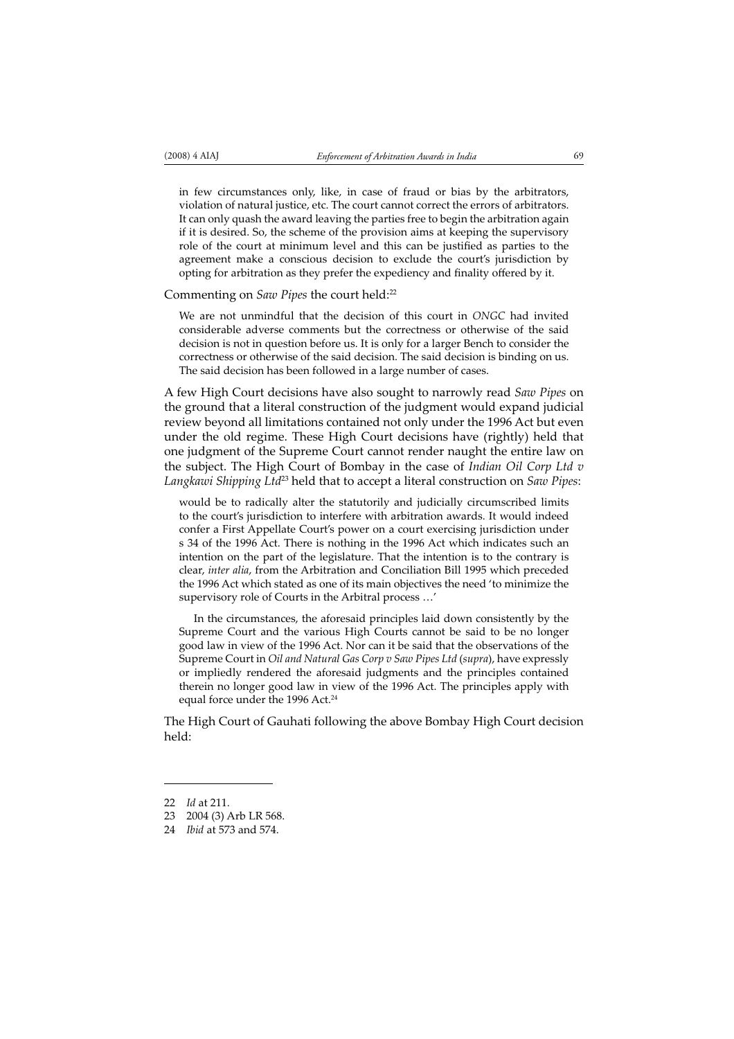in few circumstances only, like, in case of fraud or bias by the arbitrators, violation of natural justice, etc. The court cannot correct the errors of arbitrators. It can only quash the award leaving the parties free to begin the arbitration again if it is desired. So, the scheme of the provision aims at keeping the supervisory

role of the court at minimum level and this can be justified as parties to the agreement make a conscious decision to exclude the court's jurisdiction by  $\frac{1}{2}$  opting for arbitration as they prefer the expediency and finality offered by it.

#### Commenting on *Saw Pipes* the court held:22

We are not unmindful that the decision of this court in *ONGC* had invited considerable adverse comments but the correctness or otherwise of the said decision is not in question before us. It is only for a larger Bench to consider the correctness or otherwise of the said decision. The said decision is binding on us. The said decision has been followed in a large number of cases.

A few High Court decisions have also sought to narrowly read *Saw Pipes* on the ground that a literal construction of the judgment would expand judicial review beyond all limitations contained not only under the 1996 Act but even under the old regime. These High Court decisions have (rightly) held that one judgment of the Supreme Court cannot render naught the entire law on the subject. The High Court of Bombay in the case of *Indian Oil Corp Ltd v Langkawi Shipping Ltd*23 held that to accept a literal construction on *Saw Pipes*:

would be to radically alter the statutorily and judicially circumscribed limits to the court's jurisdiction to interfere with arbitration awards. It would indeed confer a First Appellate Court's power on a court exercising jurisdiction under s 34 of the 1996 Act. There is nothing in the 1996 Act which indicates such an intention on the part of the legislature. That the intention is to the contrary is clear, *inter alia*, from the Arbitration and Conciliation Bill 1995 which preceded the 1996 Act which stated as one of its main objectives the need 'to minimize the supervisory role of Courts in the Arbitral process …'

In the circumstances, the aforesaid principles laid down consistently by the Supreme Court and the various High Courts cannot be said to be no longer good law in view of the 1996 Act. Nor can it be said that the observations of the Supreme Court in *Oil and Natural Gas Corp v Saw Pipes Ltd* (*supra*), have expressly or impliedly rendered the aforesaid judgments and the principles contained therein no longer good law in view of the 1996 Act. The principles apply with equal force under the 1996 Act.<sup>24</sup>

The High Court of Gauhati following the above Bombay High Court decision held:

<sup>22</sup> *Id* at 211.

<sup>23 2004 (3)</sup> Arb LR 568.

<sup>24</sup> *Ibid* at 573 and 574.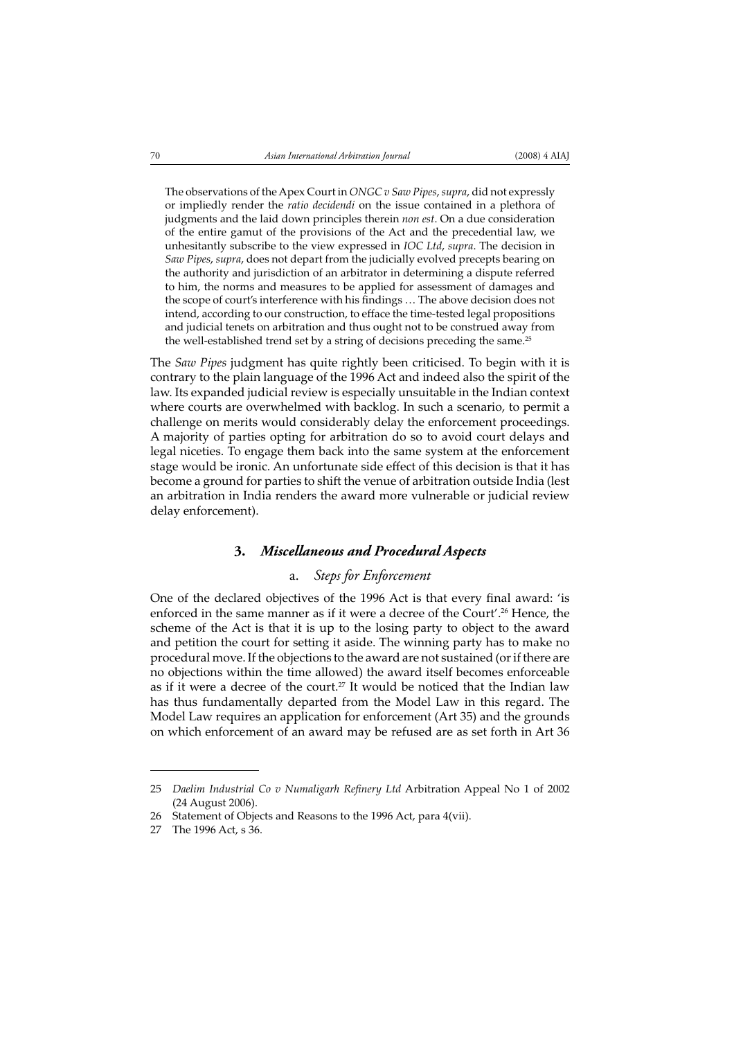The observations of the Apex Court in *ONGC v Saw Pipes*, *supra*, did not expressly or impliedly render the *ratio decidendi* on the issue contained in a plethora of judgments and the laid down principles therein *non est*. On a due consideration of the entire gamut of the provisions of the Act and the precedential law, we unhesitantly subscribe to the view expressed in *IOC Ltd*, *supra*. The decision in *Saw Pipes*, *supra*, does not depart from the judicially evolved precepts bearing on the authority and jurisdiction of an arbitrator in determining a dispute referred to him, the norms and measures to be applied for assessment of damages and the scope of court's interference with his findings ... The above decision does not intend, according to our construction, to efface the time-tested legal propositions and judicial tenets on arbitration and thus ought not to be construed away from the well-established trend set by a string of decisions preceding the same.<sup>25</sup>

The *Saw Pipes* judgment has quite rightly been criticised. To begin with it is contrary to the plain language of the 1996 Act and indeed also the spirit of the law. Its expanded judicial review is especially unsuitable in the Indian context where courts are overwhelmed with backlog. In such a scenario, to permit a challenge on merits would considerably delay the enforcement proceedings. A majority of parties opting for arbitration do so to avoid court delays and legal niceties. To engage them back into the same system at the enforcement stage would be ironic. An unfortunate side effect of this decision is that it has become a ground for parties to shift the venue of arbitration outside India (lest an arbitration in India renders the award more vulnerable or judicial review delay enforcement).

### **3.** *Miscellaneous and Procedural Aspects*

## a. *Steps for Enforcement*

One of the declared objectives of the 1996 Act is that every final award: 'is enforced in the same manner as if it were a decree of the Court'.<sup>26</sup> Hence, the scheme of the Act is that it is up to the losing party to object to the award and petition the court for setting it aside. The winning party has to make no procedural move. If the objections to the award are not sustained (or if there are no objections within the time allowed) the award itself becomes enforceable as if it were a decree of the court.<sup>27</sup> It would be noticed that the Indian law has thus fundamentally departed from the Model Law in this regard. The Model Law requires an application for enforcement (Art 35) and the grounds on which enforcement of an award may be refused are as set forth in Art 36

<sup>25</sup> *Daelim Industrial Co v Numaligarh Refinery Ltd Arbitration Appeal No 1 of 2002* (24 August 2006).

<sup>26</sup> Statement of Objects and Reasons to the 1996 Act, para 4(vii).

<sup>27</sup> The 1996 Act, s 36.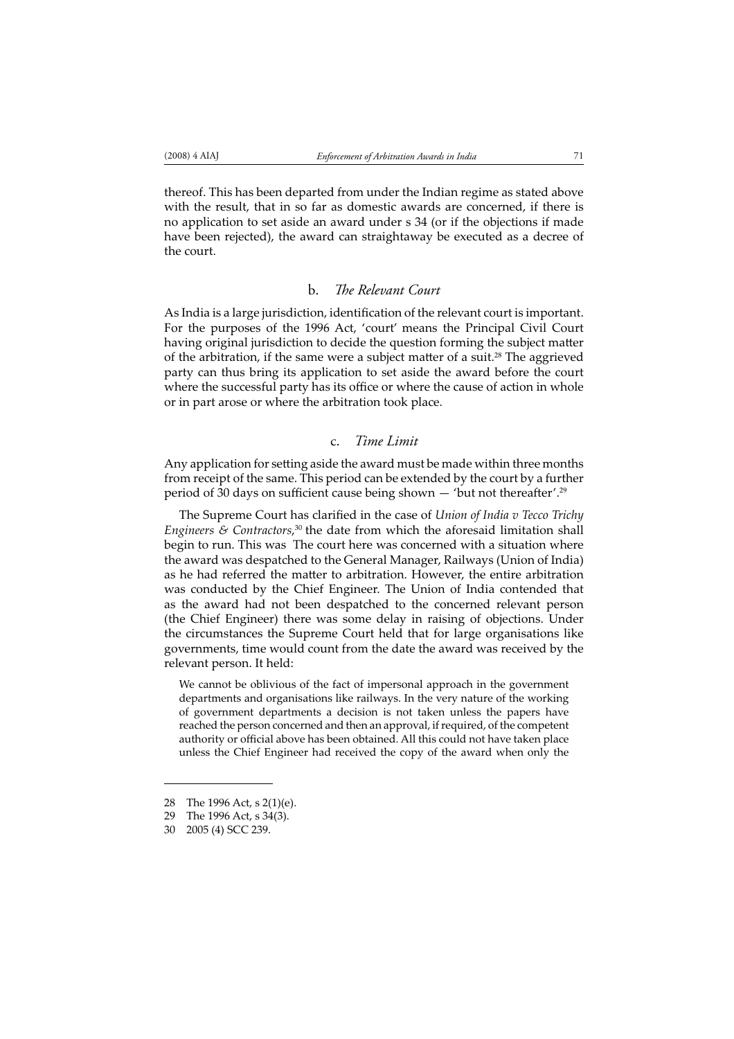thereof. This has been departed from under the Indian regime as stated above with the result, that in so far as domestic awards are concerned, if there is no application to set aside an award under s 34 (or if the objections if made have been rejected), the award can straightaway be executed as a decree of the court.

### b. The Relevant Court

As India is a large jurisdiction, identification of the relevant court is important. For the purposes of the 1996 Act, 'court' means the Principal Civil Court having original jurisdiction to decide the question forming the subject matter of the arbitration, if the same were a subject matter of a suit.<sup>28</sup> The aggrieved party can thus bring its application to set aside the award before the court where the successful party has its office or where the cause of action in whole or in part arose or where the arbitration took place.

### c. *Time Limit*

Any application for setting aside the award must be made within three months from receipt of the same. This period can be extended by the court by a further period of  $30$  days on sufficient cause being shown  $-$  'but not thereafter'.<sup>29</sup>

The Supreme Court has clarified in the case of *Union of India v Tecco Trichy* Engineers & Contractors,<sup>30</sup> the date from which the aforesaid limitation shall begin to run. This was The court here was concerned with a situation where the award was despatched to the General Manager, Railways (Union of India) as he had referred the matter to arbitration. However, the entire arbitration was conducted by the Chief Engineer. The Union of India contended that as the award had not been despatched to the concerned relevant person (the Chief Engineer) there was some delay in raising of objections. Under the circumstances the Supreme Court held that for large organisations like governments, time would count from the date the award was received by the relevant person. It held:

We cannot be oblivious of the fact of impersonal approach in the government departments and organisations like railways. In the very nature of the working of government departments a decision is not taken unless the papers have reached the person concerned and then an approval, if required, of the competent authority or official above has been obtained. All this could not have taken place unless the Chief Engineer had received the copy of the award when only the

<sup>28</sup> The 1996 Act, s 2(1)(e).

<sup>29</sup> The 1996 Act, s 34(3).

<sup>30 2005 (4)</sup> SCC 239.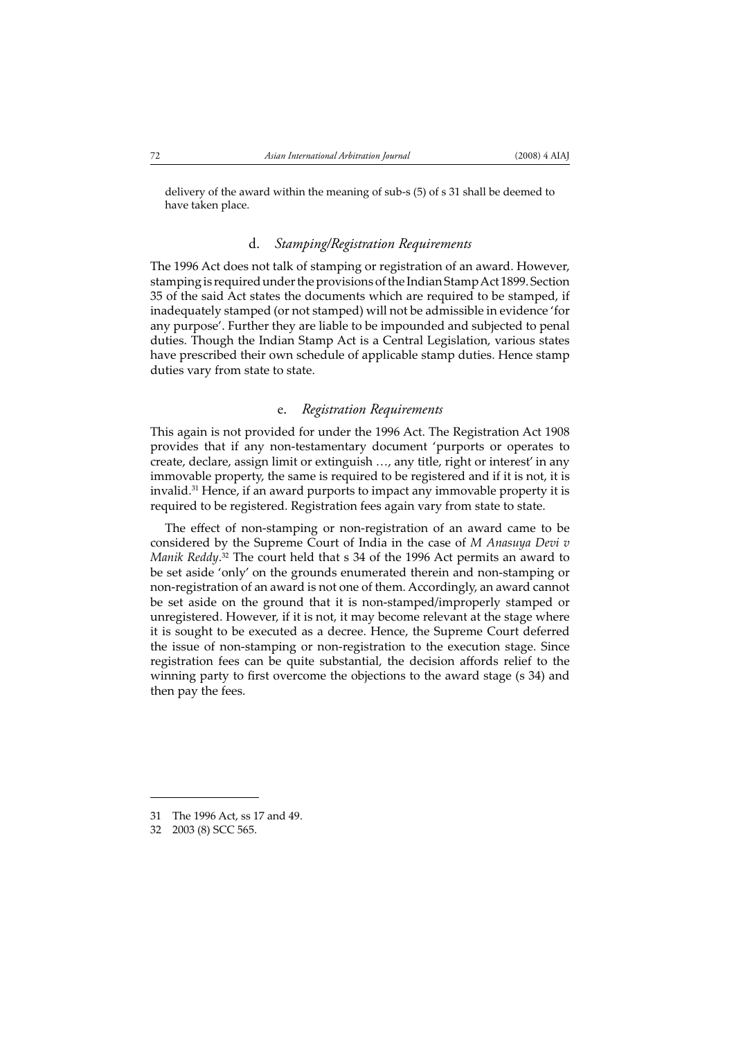delivery of the award within the meaning of sub-s (5) of s 31 shall be deemed to have taken place.

#### d. *Stamping/Registration Requirements*

The 1996 Act does not talk of stamping or registration of an award. However, stamping is required under the provisions of the Indian Stamp Act 1899. Section 35 of the said Act states the documents which are required to be stamped, if inadequately stamped (or not stamped) will not be admissible in evidence 'for any purpose'. Further they are liable to be impounded and subjected to penal duties. Though the Indian Stamp Act is a Central Legislation, various states have prescribed their own schedule of applicable stamp duties. Hence stamp duties vary from state to state.

#### e. *Registration Requirements*

This again is not provided for under the 1996 Act. The Registration Act 1908 provides that if any non-testamentary document 'purports or operates to create, declare, assign limit or extinguish …, any title, right or interest' in any immovable property, the same is required to be registered and if it is not, it is invalid.31 Hence, if an award purports to impact any immovable property it is required to be registered. Registration fees again vary from state to state.

The effect of non-stamping or non-registration of an award came to be considered by the Supreme Court of India in the case of *M Anasuya Devi v Manik Reddy*. 32 The court held that s 34 of the 1996 Act permits an award to be set aside 'only' on the grounds enumerated therein and non-stamping or non-registration of an award is not one of them. Accordingly, an award cannot be set aside on the ground that it is non-stamped/improperly stamped or unregistered. However, if it is not, it may become relevant at the stage where it is sought to be executed as a decree. Hence, the Supreme Court deferred the issue of non-stamping or non-registration to the execution stage. Since registration fees can be quite substantial, the decision affords relief to the winning party to first overcome the objections to the award stage (s 34) and then pay the fees.

<sup>31</sup> The 1996 Act, ss 17 and 49.

<sup>32 2003 (8)</sup> SCC 565.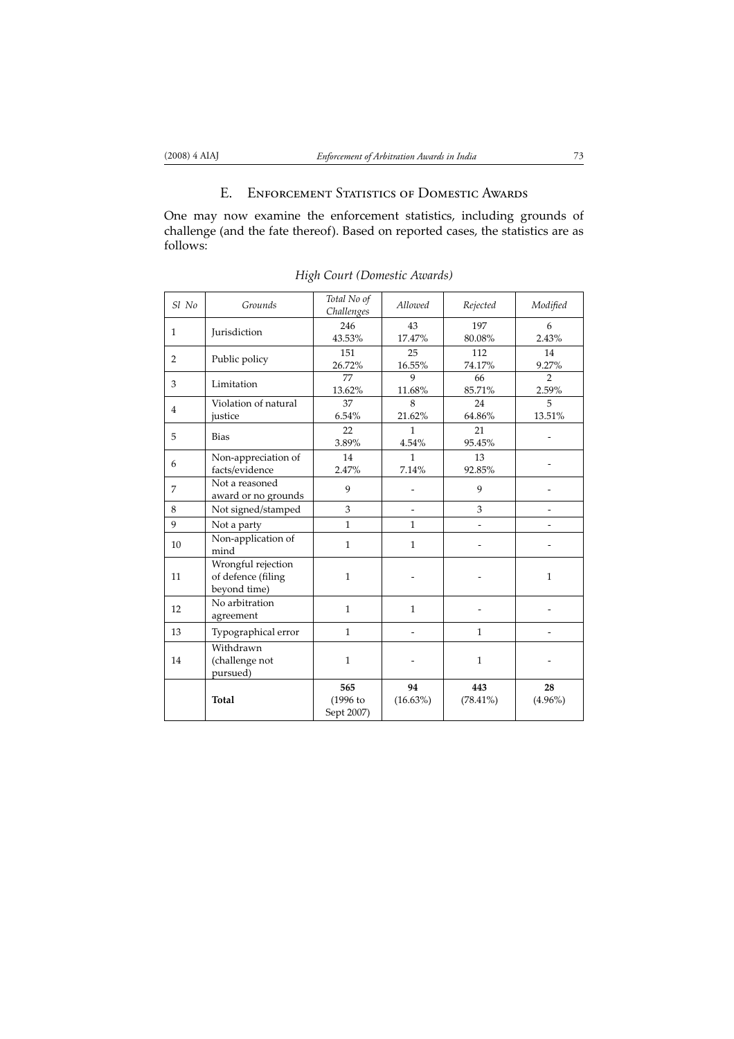## E. ENFORCEMENT STATISTICS OF DOMESTIC AWARDS

One may now examine the enforcement statistics, including grounds of challenge (and the fate thereof). Based on reported cases, the statistics are as follows:

| Sl No          | Grounds                                                  | Total No of<br>Challenges        | Allowed           | Rejected           | Modified                 |
|----------------|----------------------------------------------------------|----------------------------------|-------------------|--------------------|--------------------------|
| $\mathbf{1}$   | Jurisdiction                                             | 246<br>43.53%                    | 43<br>17.47%      | 197<br>80.08%      | 6<br>2.43%               |
| $\overline{2}$ | Public policy                                            | 151<br>26.72%                    | 25<br>16.55%      | 112<br>74.17%      | 14<br>9.27%              |
| 3              | Limitation                                               | 77<br>13.62%                     | 9<br>11.68%       | 66<br>85.71%       | 2<br>2.59%               |
| $\overline{4}$ | Violation of natural<br>justice                          | 37<br>6.54%                      | 8<br>21.62%       | 24<br>64.86%       | 5<br>13.51%              |
| 5              | <b>Bias</b>                                              | 22<br>3.89%                      | 1<br>4.54%        | 21<br>95.45%       |                          |
| 6              | Non-appreciation of<br>facts/evidence                    | 14<br>2.47%                      | 1<br>7.14%        | 13<br>92.85%       |                          |
| $\overline{7}$ | Not a reasoned<br>award or no grounds                    | 9                                |                   | 9                  |                          |
| 8              | Not signed/stamped                                       | 3                                |                   | 3                  |                          |
| 9              | Not a party                                              | 1                                | $\mathbf{1}$      |                    |                          |
| 10             | Non-application of<br>mind                               | $\mathbf{1}$                     | $\mathbf{1}$      |                    | $\overline{\phantom{a}}$ |
| 11             | Wrongful rejection<br>of defence (filing<br>beyond time) | $\mathbf{1}$                     |                   |                    | $\mathbf{1}$             |
| 12             | No arbitration<br>agreement                              | $\mathbf{1}$                     | $\mathbf{1}$      |                    |                          |
| 13             | Typographical error                                      | $\mathbf{1}$                     |                   | $\mathbf{1}$       |                          |
| 14             | Withdrawn<br>(challenge not<br>pursued)                  | $\mathbf{1}$                     |                   | $\mathbf{1}$       |                          |
|                | <b>Total</b>                                             | 565<br>$(1996)$ to<br>Sept 2007) | 94<br>$(16.63\%)$ | 443<br>$(78.41\%)$ | 28<br>$(4.96\%)$         |

*High Court (Domestic Awards)*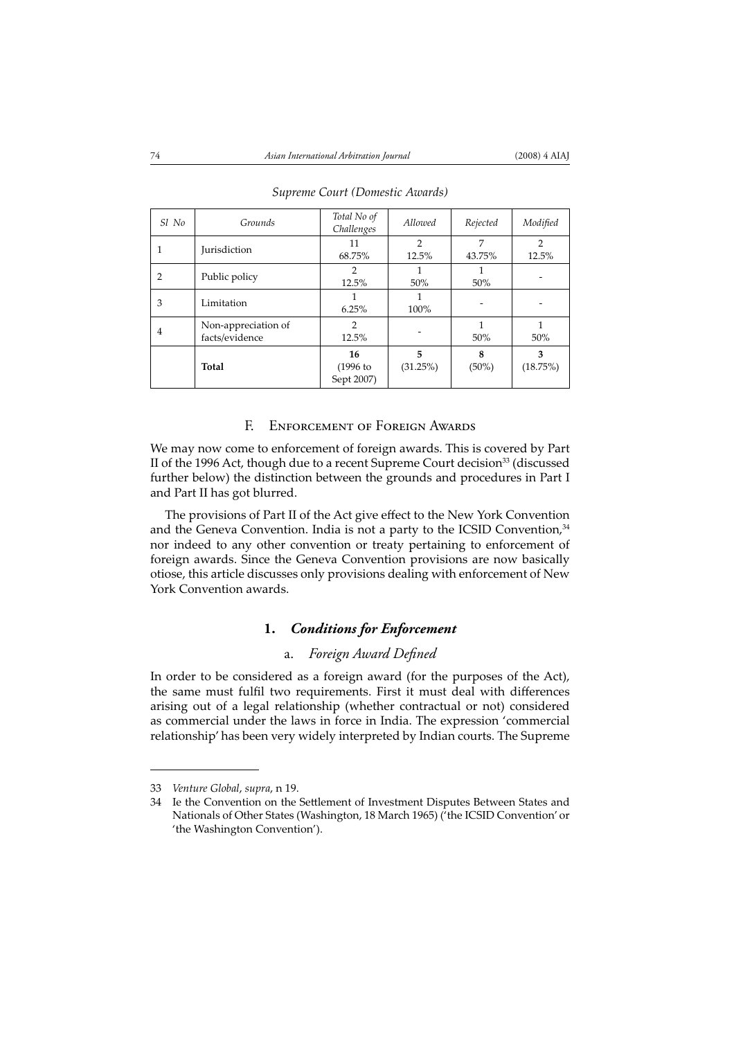| Sl No | Grounds                               | Total No of<br>Challenges       | Allowed                 | Rejected      | Modified                |
|-------|---------------------------------------|---------------------------------|-------------------------|---------------|-------------------------|
|       | <b>Jurisdiction</b>                   | 11<br>68.75%                    | $\overline{2}$<br>12.5% | 7<br>43.75%   | $\overline{2}$<br>12.5% |
| 2     | Public policy                         | $\overline{2}$<br>12.5%         | 50%                     | 50%           |                         |
| 3     | Limitation                            | 6.25%                           | 100%                    |               |                         |
| 4     | Non-appreciation of<br>facts/evidence | $\overline{2}$<br>12.5%         |                         | 50%           | 50%                     |
|       | Total                                 | 16<br>$(1996)$ to<br>Sept 2007) | 5<br>(31.25%)           | 8<br>$(50\%)$ | 3<br>(18.75%)           |

### *Supreme Court (Domestic Awards)*

### F. ENFORCEMENT OF FOREIGN AWARDS

We may now come to enforcement of foreign awards. This is covered by Part II of the 1996 Act, though due to a recent Supreme Court decision<sup>33</sup> (discussed further below) the distinction between the grounds and procedures in Part I and Part II has got blurred.

The provisions of Part II of the Act give effect to the New York Convention and the Geneva Convention. India is not a party to the ICSID Convention,<sup>34</sup> nor indeed to any other convention or treaty pertaining to enforcement of foreign awards. Since the Geneva Convention provisions are now basically otiose, this article discusses only provisions dealing with enforcement of New York Convention awards.

# **1.** *Conditions for Enforcement*

### a. Foreign Award Defined

In order to be considered as a foreign award (for the purposes of the Act), the same must fulfil two requirements. First it must deal with differences arising out of a legal relationship (whether contractual or not) considered as commercial under the laws in force in India. The expression 'commercial relationship' has been very widely interpreted by Indian courts. The Supreme

<sup>33</sup> *Venture Global*, *supra*, n 19.

<sup>34</sup> Ie the Convention on the Settlement of Investment Disputes Between States and Nationals of Other States (Washington, 18 March 1965) ('the ICSID Convention' or 'the Washington Convention').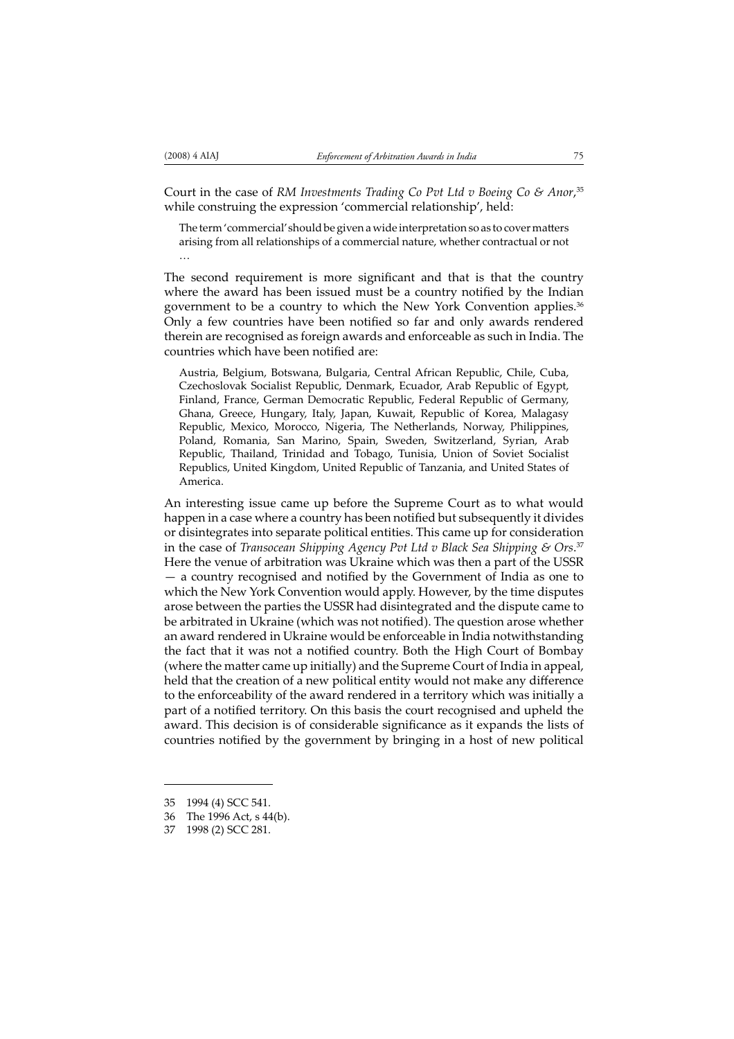Court in the case of *RM Investments Trading Co Pvt Ltd v Boeing Co & Anor*, 35 while construing the expression 'commercial relationship', held:

The term 'commercial' should be given a wide interpretation so as to cover matters arising from all relationships of a commercial nature, whether contractual or not …

The second requirement is more significant and that is that the country where the award has been issued must be a country notified by the Indian government to be a country to which the New York Convention applies.36 Only a few countries have been notified so far and only awards rendered therein are recognised as foreign awards and enforceable as such in India. The countries which have been notified are:

Austria, Belgium, Botswana, Bulgaria, Central African Republic, Chile, Cuba, Czechoslovak Socialist Republic, Denmark, Ecuador, Arab Republic of Egypt, Finland, France, German Democratic Republic, Federal Republic of Germany, Ghana, Greece, Hungary, Italy, Japan, Kuwait, Republic of Korea, Malagasy Republic, Mexico, Morocco, Nigeria, The Netherlands, Norway, Philippines, Poland, Romania, San Marino, Spain, Sweden, Switzerland, Syrian, Arab Republic, Thailand, Trinidad and Tobago, Tunisia, Union of Soviet Socialist Republics, United Kingdom, United Republic of Tanzania, and United States of America.

An interesting issue came up before the Supreme Court as to what would happen in a case where a country has been notified but subsequently it divides or disintegrates into separate political entities. This came up for consideration in the case of *Transocean Shipping Agency Pvt Ltd v Black Sea Shipping & Ors*. 37 Here the venue of arbitration was Ukraine which was then a part of the USSR  $-$  a country recognised and notified by the Government of India as one to which the New York Convention would apply. However, by the time disputes arose between the parties the USSR had disintegrated and the dispute came to be arbitrated in Ukraine (which was not notified). The question arose whether an award rendered in Ukraine would be enforceable in India notwithstanding the fact that it was not a notified country. Both the High Court of Bombay (where the matter came up initially) and the Supreme Court of India in appeal, held that the creation of a new political entity would not make any difference to the enforceability of the award rendered in a territory which was initially a part of a notified territory. On this basis the court recognised and upheld the award. This decision is of considerable significance as it expands the lists of countries notified by the government by bringing in a host of new political

<sup>35 1994 (4)</sup> SCC 541.

<sup>36</sup> The 1996 Act, s 44(b).

<sup>37 1998 (2)</sup> SCC 281.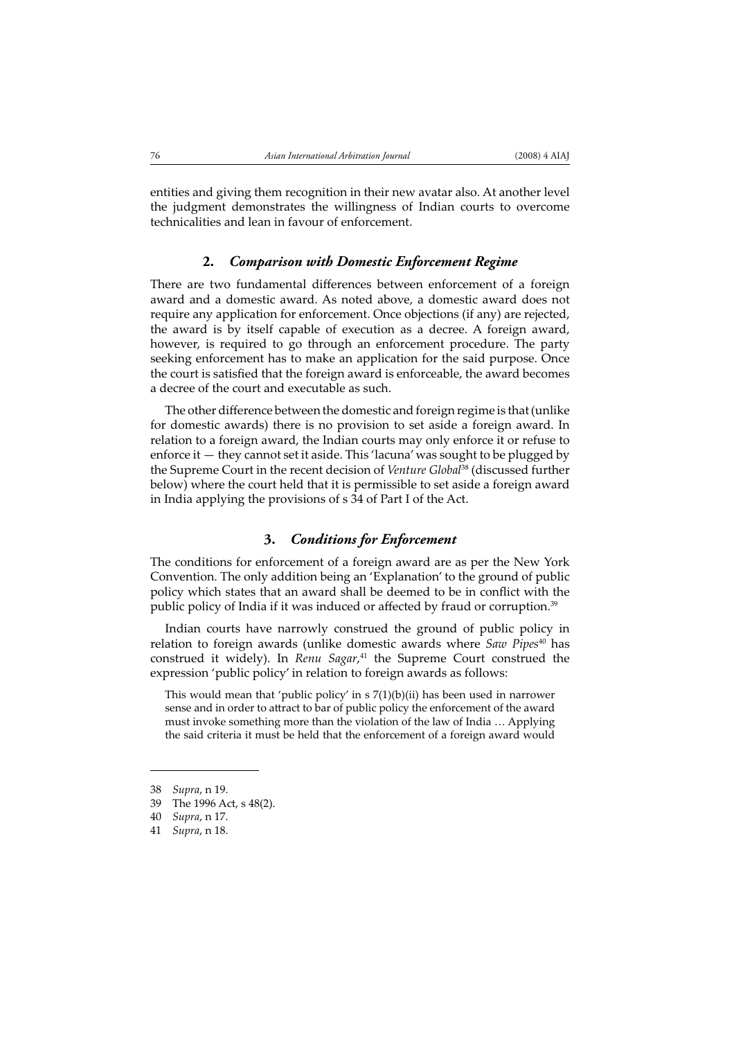entities and giving them recognition in their new avatar also. At another level the judgment demonstrates the willingness of Indian courts to overcome technicalities and lean in favour of enforcement.

#### **2.** *Comparison with Domestic Enforcement Regime*

There are two fundamental differences between enforcement of a foreign award and a domestic award. As noted above, a domestic award does not require any application for enforcement. Once objections (if any) are rejected, the award is by itself capable of execution as a decree. A foreign award, however, is required to go through an enforcement procedure. The party seeking enforcement has to make an application for the said purpose. Once the court is satisfied that the foreign award is enforceable, the award becomes a decree of the court and executable as such.

The other difference between the domestic and foreign regime is that (unlike for domestic awards) there is no provision to set aside a foreign award. In relation to a foreign award, the Indian courts may only enforce it or refuse to enforce it — they cannot set it aside. This 'lacuna' was sought to be plugged by the Supreme Court in the recent decision of *Venture Global*38 (discussed further below) where the court held that it is permissible to set aside a foreign award in India applying the provisions of s 34 of Part I of the Act.

### **3.** *Conditions for Enforcement*

The conditions for enforcement of a foreign award are as per the New York Convention. The only addition being an 'Explanation' to the ground of public policy which states that an award shall be deemed to be in conflict with the public policy of India if it was induced or affected by fraud or corruption.<sup>39</sup>

Indian courts have narrowly construed the ground of public policy in relation to foreign awards (unlike domestic awards where *Saw Pipes*40 has construed it widely). In *Renu Sagar*, 41 the Supreme Court construed the expression 'public policy' in relation to foreign awards as follows:

This would mean that 'public policy' in s 7(1)(b)(ii) has been used in narrower sense and in order to attract to bar of public policy the enforcement of the award must invoke something more than the violation of the law of India … Applying the said criteria it must be held that the enforcement of a foreign award would

<sup>38</sup> *Supra*, n 19.

<sup>39</sup> The 1996 Act, s 48(2).

<sup>40</sup> *Supra*, n 17.

<sup>41</sup> *Supra*, n 18.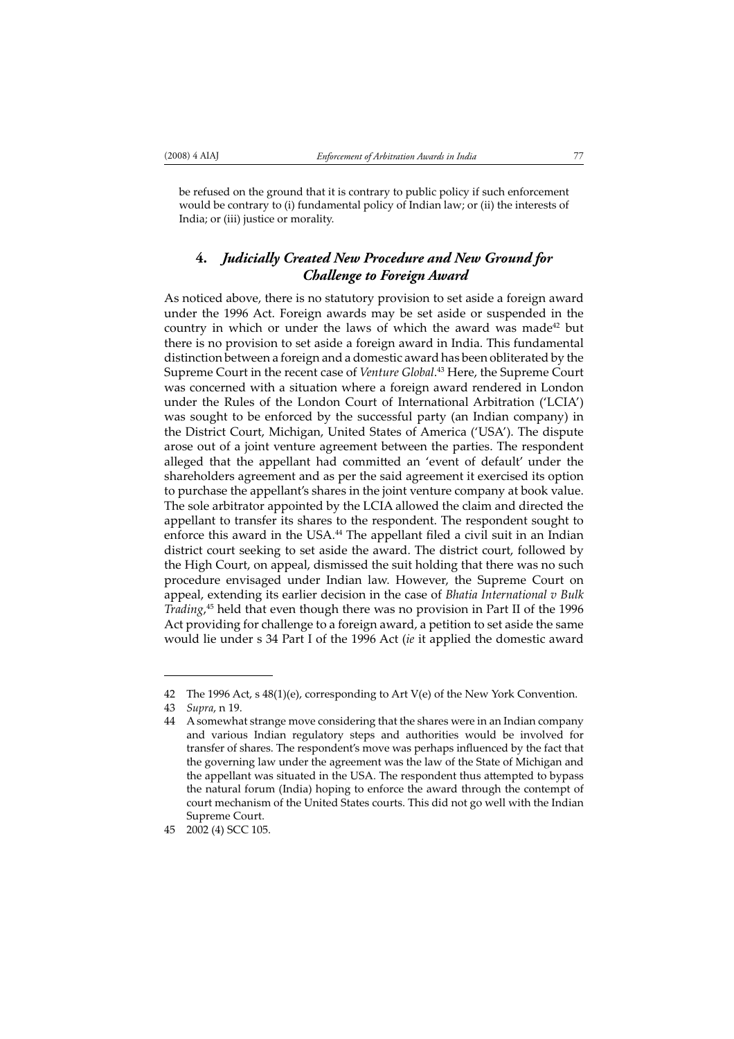be refused on the ground that it is contrary to public policy if such enforcement would be contrary to (i) fundamental policy of Indian law; or (ii) the interests of India; or (iii) justice or morality.

# **4.** *Judicially Created New Procedure and New Ground for Challenge to Foreign Award*

As noticed above, there is no statutory provision to set aside a foreign award under the 1996 Act. Foreign awards may be set aside or suspended in the country in which or under the laws of which the award was made<sup>42</sup> but there is no provision to set aside a foreign award in India. This fundamental distinction between a foreign and a domestic award has been obliterated by the Supreme Court in the recent case of *Venture Global*. 43 Here, the Supreme Court was concerned with a situation where a foreign award rendered in London under the Rules of the London Court of International Arbitration ('LCIA') was sought to be enforced by the successful party (an Indian company) in the District Court, Michigan, United States of America ('USA'). The dispute arose out of a joint venture agreement between the parties. The respondent alleged that the appellant had committed an 'event of default' under the shareholders agreement and as per the said agreement it exercised its option to purchase the appellant's shares in the joint venture company at book value. The sole arbitrator appointed by the LCIA allowed the claim and directed the appellant to transfer its shares to the respondent. The respondent sought to enforce this award in the USA.<sup>44</sup> The appellant filed a civil suit in an Indian district court seeking to set aside the award. The district court, followed by the High Court, on appeal, dismissed the suit holding that there was no such procedure envisaged under Indian law. However, the Supreme Court on appeal, extending its earlier decision in the case of *Bhatia International v Bulk Trading*, 45 held that even though there was no provision in Part II of the 1996 Act providing for challenge to a foreign award, a petition to set aside the same would lie under s 34 Part I of the 1996 Act (*ie* it applied the domestic award

<sup>42</sup> The 1996 Act, s 48(1)(e), corresponding to Art V(e) of the New York Convention.

<sup>43</sup> *Supra*, n 19.

<sup>44</sup> A somewhat strange move considering that the shares were in an Indian company and various Indian regulatory steps and authorities would be involved for transfer of shares. The respondent's move was perhaps influenced by the fact that the governing law under the agreement was the law of the State of Michigan and the appellant was situated in the USA. The respondent thus attempted to bypass the natural forum (India) hoping to enforce the award through the contempt of court mechanism of the United States courts. This did not go well with the Indian Supreme Court.

<sup>45 2002 (4)</sup> SCC 105.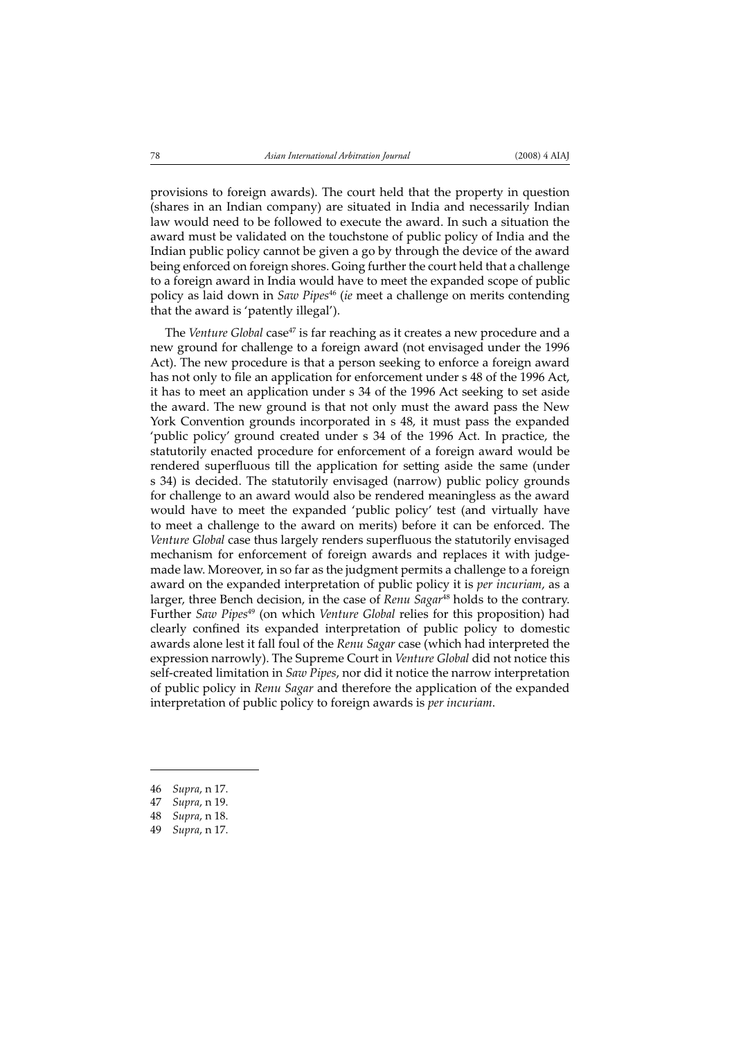provisions to foreign awards). The court held that the property in question (shares in an Indian company) are situated in India and necessarily Indian law would need to be followed to execute the award. In such a situation the award must be validated on the touchstone of public policy of India and the Indian public policy cannot be given a go by through the device of the award being enforced on foreign shores. Going further the court held that a challenge to a foreign award in India would have to meet the expanded scope of public policy as laid down in *Saw Pipes*46 (*ie* meet a challenge on merits contending that the award is 'patently illegal').

The *Venture Global* case<sup>47</sup> is far reaching as it creates a new procedure and a new ground for challenge to a foreign award (not envisaged under the 1996 Act). The new procedure is that a person seeking to enforce a foreign award has not only to file an application for enforcement under s 48 of the 1996 Act, it has to meet an application under s 34 of the 1996 Act seeking to set aside the award. The new ground is that not only must the award pass the New York Convention grounds incorporated in s 48, it must pass the expanded 'public policy' ground created under s 34 of the 1996 Act. In practice, the statutorily enacted procedure for enforcement of a foreign award would be rendered superfluous till the application for setting aside the same (under s 34) is decided. The statutorily envisaged (narrow) public policy grounds for challenge to an award would also be rendered meaningless as the award would have to meet the expanded 'public policy' test (and virtually have to meet a challenge to the award on merits) before it can be enforced. The Venture Global case thus largely renders superfluous the statutorily envisaged mechanism for enforcement of foreign awards and replaces it with judgemade law. Moreover, in so far as the judgment permits a challenge to a foreign award on the expanded interpretation of public policy it is *per incuriam*, as a larger, three Bench decision, in the case of *Renu Sagar*<sup>48</sup> holds to the contrary. Further *Saw Pipes*49 (on which *Venture Global* relies for this proposition) had clearly confined its expanded interpretation of public policy to domestic awards alone lest it fall foul of the *Renu Sagar* case (which had interpreted the expression narrowly). The Supreme Court in *Venture Global* did not notice this self-created limitation in *Saw Pipes*, nor did it notice the narrow interpretation of public policy in *Renu Sagar* and therefore the application of the expanded interpretation of public policy to foreign awards is *per incuriam*.

46 *Supra*, n 17.

<sup>47</sup> *Supra*, n 19.

<sup>48</sup> *Supra*, n 18.

<sup>49</sup> *Supra*, n 17.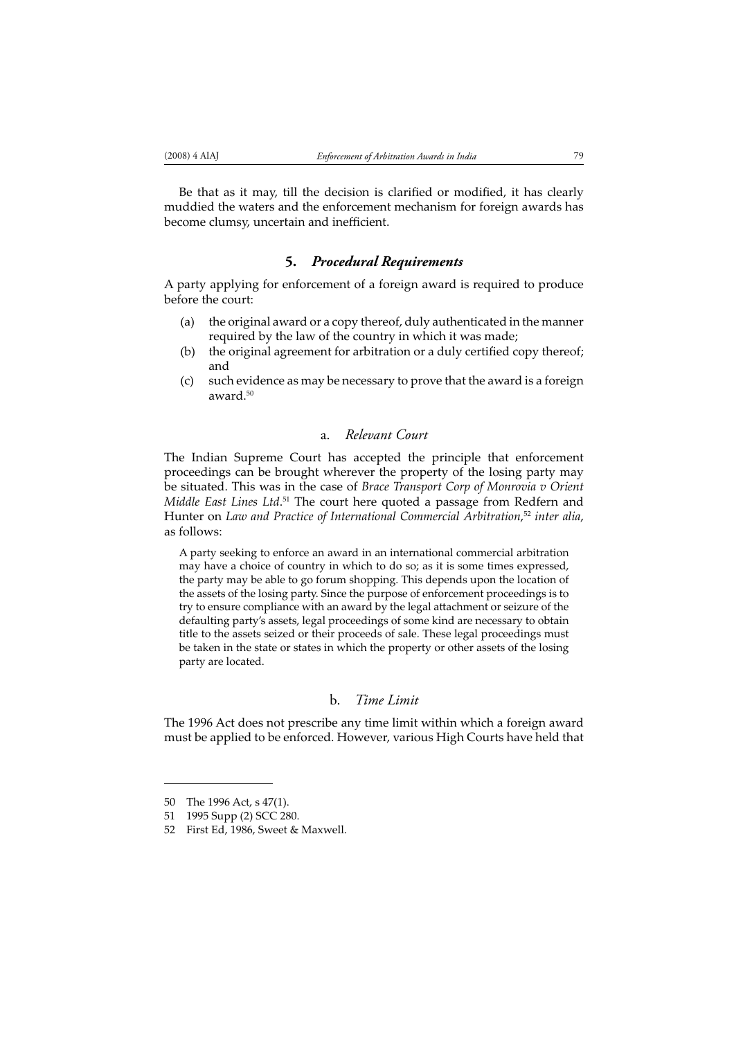Be that as it may, till the decision is clarified or modified, it has clearly muddied the waters and the enforcement mechanism for foreign awards has become clumsy, uncertain and inefficient.

#### **5.** *Procedural Requirements*

A party applying for enforcement of a foreign award is required to produce before the court:

- (a) the original award or a copy thereof, duly authenticated in the manner required by the law of the country in which it was made;
- (b) the original agreement for arbitration or a duly certified copy thereof; and
- (c) such evidence as may be necessary to prove that the award is a foreign award.50

### a. *Relevant Court*

The Indian Supreme Court has accepted the principle that enforcement proceedings can be brought wherever the property of the losing party may be situated. This was in the case of *Brace Transport Corp of Monrovia v Orient Middle East Lines Ltd*. 51 The court here quoted a passage from Redfern and Hunter on *Law and Practice of International Commercial Arbitration*, <sup>52</sup> *inter alia*, as follows:

A party seeking to enforce an award in an international commercial arbitration may have a choice of country in which to do so; as it is some times expressed, the party may be able to go forum shopping. This depends upon the location of the assets of the losing party. Since the purpose of enforcement proceedings is to try to ensure compliance with an award by the legal attachment or seizure of the defaulting party's assets, legal proceedings of some kind are necessary to obtain title to the assets seized or their proceeds of sale. These legal proceedings must be taken in the state or states in which the property or other assets of the losing party are located.

### b. *Time Limit*

The 1996 Act does not prescribe any time limit within which a foreign award must be applied to be enforced. However, various High Courts have held that

<sup>50</sup> The 1996 Act, s 47(1).

<sup>51 1995</sup> Supp (2) SCC 280.

<sup>52</sup> First Ed, 1986, Sweet & Maxwell.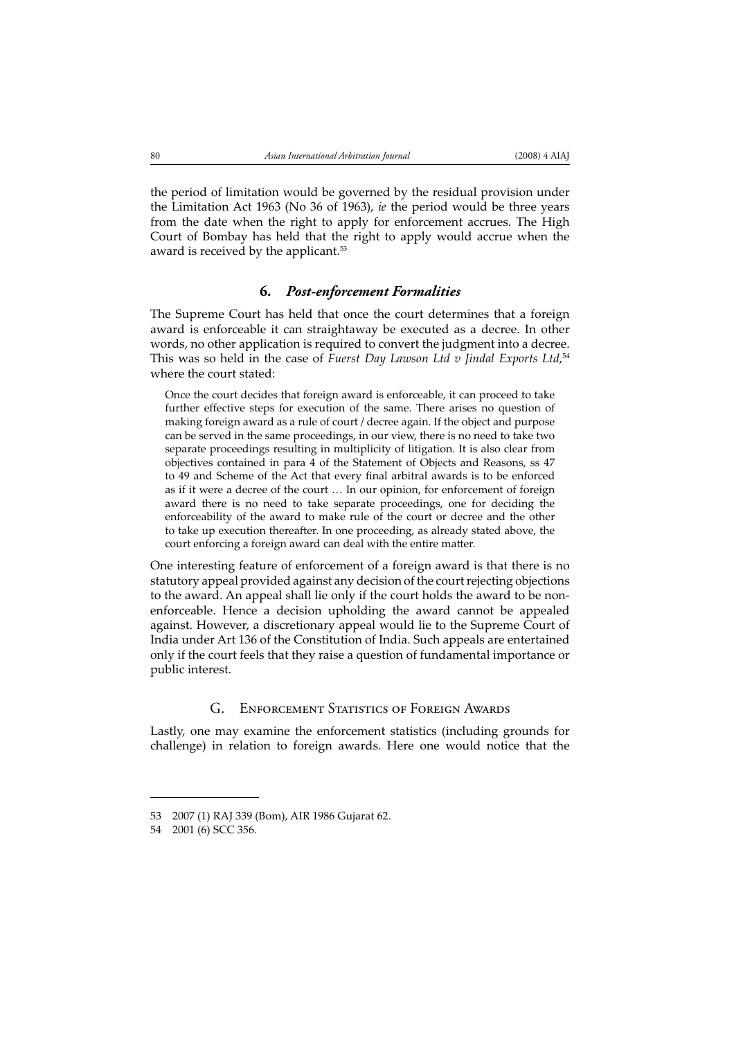the period of limitation would be governed by the residual provision under the Limitation Act 1963 (No 36 of 1963), *ie* the period would be three years from the date when the right to apply for enforcement accrues. The High Court of Bombay has held that the right to apply would accrue when the award is received by the applicant.<sup>53</sup>

### **6.** *Post-enforcement Formalities*

The Supreme Court has held that once the court determines that a foreign award is enforceable it can straightaway be executed as a decree. In other words, no other application is required to convert the judgment into a decree. This was so held in the case of *Fuerst Day Lawson Ltd v Jindal Exports Ltd*, 54 where the court stated:

Once the court decides that foreign award is enforceable, it can proceed to take further effective steps for execution of the same. There arises no question of making foreign award as a rule of court / decree again. If the object and purpose can be served in the same proceedings, in our view, there is no need to take two separate proceedings resulting in multiplicity of litigation. It is also clear from objectives contained in para 4 of the Statement of Objects and Reasons, ss 47 to 49 and Scheme of the Act that every final arbitral awards is to be enforced as if it were a decree of the court … In our opinion, for enforcement of foreign award there is no need to take separate proceedings, one for deciding the enforceability of the award to make rule of the court or decree and the other to take up execution thereafter. In one proceeding, as already stated above, the court enforcing a foreign award can deal with the entire matter.

One interesting feature of enforcement of a foreign award is that there is no statutory appeal provided against any decision of the court rejecting objections to the award. An appeal shall lie only if the court holds the award to be nonenforceable. Hence a decision upholding the award cannot be appealed against. However, a discretionary appeal would lie to the Supreme Court of India under Art 136 of the Constitution of India. Such appeals are entertained only if the court feels that they raise a question of fundamental importance or public interest.

### G. ENFORCEMENT STATISTICS OF FOREIGN AWARDS

Lastly, one may examine the enforcement statistics (including grounds for challenge) in relation to foreign awards. Here one would notice that the

<sup>53 2007 (1)</sup> RAJ 339 (Bom), AIR 1986 Gujarat 62.

<sup>54 2001 (6)</sup> SCC 356.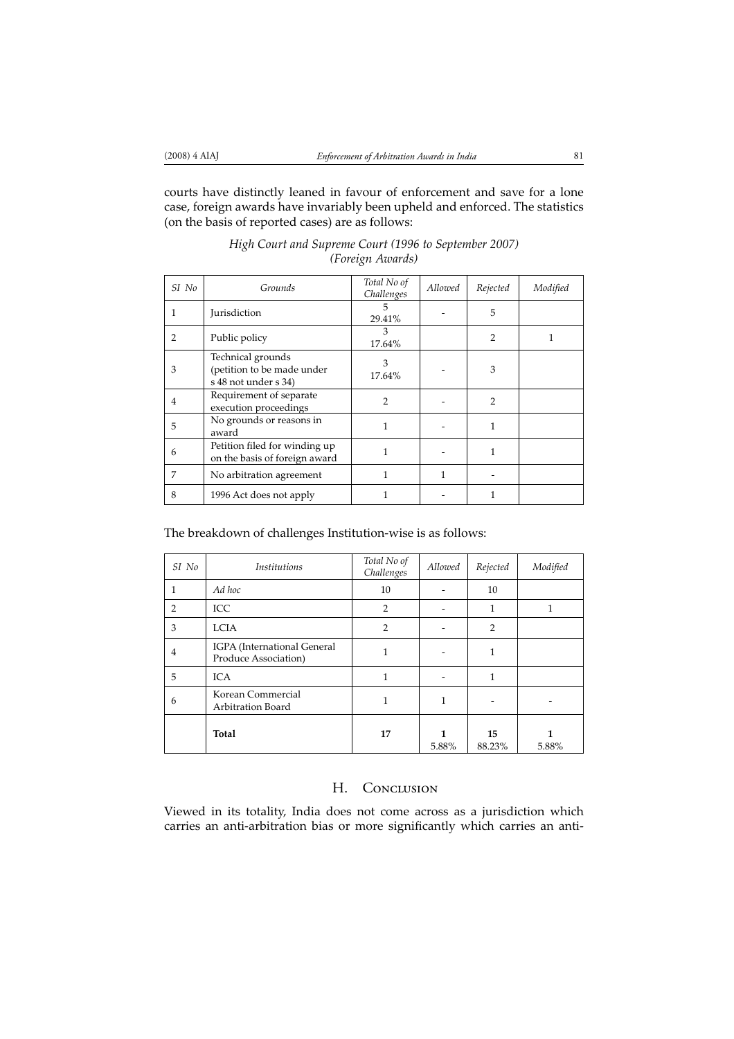courts have distinctly leaned in favour of enforcement and save for a lone case, foreign awards have invariably been upheld and enforced. The statistics (on the basis of reported cases) are as follows:

| SI No | Grounds                                                                 | Total No of<br>Challenges | Allowed | Rejected       | Modified |
|-------|-------------------------------------------------------------------------|---------------------------|---------|----------------|----------|
| 1     | <b>Jurisdiction</b>                                                     | 5<br>29.41%               |         | 5              |          |
| 2     | Public policy                                                           | 3<br>17.64%               |         | $\overline{2}$ |          |
| 3     | Technical grounds<br>(petition to be made under<br>s 48 not under s 34) | 3<br>17.64%               |         | 3              |          |
| 4     | Requirement of separate<br>execution proceedings                        | $\mathcal{P}$             |         | $\mathcal{P}$  |          |
| 5     | No grounds or reasons in<br>award                                       |                           |         | 1              |          |
| 6     | Petition filed for winding up<br>on the basis of foreign award          |                           |         | 1              |          |
| 7     | No arbitration agreement                                                |                           | 1       |                |          |
| 8     | 1996 Act does not apply                                                 |                           |         |                |          |

*High Court and Supreme Court (1996 to September 2007) (Foreign Awards)*

The breakdown of challenges Institution-wise is as follows:

| SI No          | <i>Institutions</i>                                 | Total No of<br>Challenges | Allowed | Rejected       | Modified |
|----------------|-----------------------------------------------------|---------------------------|---------|----------------|----------|
| 1              | Ad hoc                                              | 10                        |         | 10             |          |
| $\overline{2}$ | ICC                                                 | $\overline{2}$            |         |                |          |
| 3              | <b>LCIA</b>                                         | $\overline{2}$            |         | $\overline{2}$ |          |
| 4              | IGPA (International General<br>Produce Association) |                           |         |                |          |
| 5              | <b>ICA</b>                                          | 1                         |         | 1              |          |
| 6              | Korean Commercial<br>Arbitration Board              | 1                         |         |                |          |
|                | <b>Total</b>                                        | 17                        | 5.88%   | 15<br>88.23%   | 5.88%    |

## H. CONCLUSION

Viewed in its totality, India does not come across as a jurisdiction which carries an anti-arbitration bias or more significantly which carries an anti